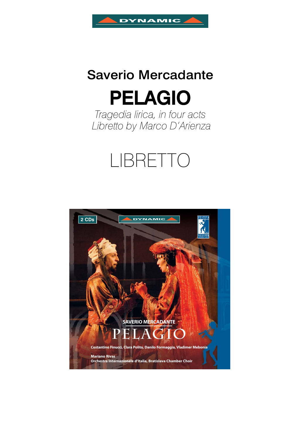

# Saverio Mercadante

PELAGIO

*Tragedia lirica, in four acts Libretto by Marco D'Arienza*

# LIBRETTO

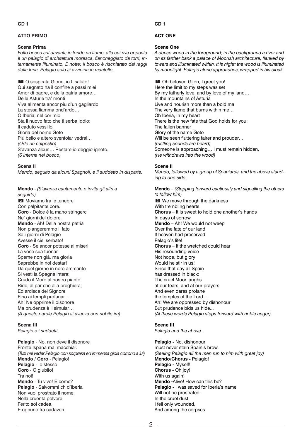# **ATTO PRIMO**

# **Scena Prima**

*Folto bosco sul davanti; in fondo un fiume, alla cui riva opposta è un palagio di architettura moresca, fiancheggiato da torri, internamente illuminato. È notte: il bosco è rischiarato dai raggi della luna. Pelagio solo si avvicina in mantello.*

O sospirata Gione, io ti saluto! **1** Qui segnato ha il confine a passi miei Amor di padre, e della patria amore… Delle Asturie tra' monti Viva alimenta ancor più d'un gagliardo La stessa fiamma ond'ardo… O Iberia, nel cor mio Sta il nuovo fato che ti serba Iddio: Il caduto vessillo Gloria del nome Goto Più bello e altero sventolar vedrai… *(Ode un calpestio)* S'avanza alcun… Restare io deggio ignoto. *(S'interna nel bosco)*

# **Scena II**

*Mendo, seguito da alcuni Spagnoli, e il suddetto in disparte.*

**Mendo** - *(S'avanza cautamente e invita gli altri a seguirlo)* Moviamo fra le tenebre **2**

Con palpitante core. **Coro** - Dolce è la mano stringerci Ne' giorni del dolore. **Mendo** - Ah! Della nostra patria Non piangeremmo il fato Se i giorni di Pelagio Avesse il ciel serbato! **Coro** - Se ancor potesse ai miseri La voce sua tuonar Speme non già, ma gloria Saprebbe in noi destar! Da quel giorno in nero ammanto Si vestì la Spagna intera: Crudo il Moro al nostro pianto Ride, al par che alla preghiera; Ed ardisce del Signore Fino ai templi profanar… Ah! Ne opprime il disonore Ma prudenza è il simular… *(A queste parole Pelagio si avanza con nobile ira)*

# **Scena III**

*Pelagio e i suddetti.*

**Pelagio** - No, non deve il disonore Fronte Ispana mai macchiar. *(Tutti nel veder Pelagio con sorpresa ed immensa gioia corrono a lui)* **Mendo / Coro** - Pelagio! **Pelagio** - Io stesso! **Coro** - O giubilo! Tra noi! **Mendo** - Tu vivo! E come? **Pelagio** - Salvommi ch d'Iberia Non vuol prostrato il nome. Nella cruenta polvere Ferito sol cadea, E ognuno tra cadaveri

**CD 1**

# **ACT ONE**

# **Scene One**

*A dense wood in the foreground; in the background a river and on its farther bank a palace of Moorish architecture, flanked by towers and illuminated within. It is night: the wood is illuminated by moonlight. Pelagio alone approaches, wrapped in his cloak.*

Oh beloved Gijon, I greet you! **1** Here the limit to my steps was set By my fatherly love, and by love of my land… In the mountains of Asturia Live and nourish more than a bold ma The very flame that burns within me… Oh Iberia, in my heart There is the new fate that God holds for you: The fallen banner Glory of the name Goto Will be seen fluttering fairer and prouder… *(rustling sounds are heard)* Someone is approaching… I must remain hidden. *(He withdraws into the wood)*

# **Scene II**

*Mendo, followed by a group of Spaniards, and the above standing to one side.*

**Mendo** – *(Stepping forward cautiously and signalling the others to follow him)* We move through the darkness **2**With trembling hearts. **Chorus** – It is sweet to hold one another's hands In days of sorrow. **Mendo** – Ah! We would not weep Over the fate of our land If heaven had preserved Pelagio's life! **Chorus** – If the wretched could hear His resounding voice Not hope, but glory Would he stir in us! Since that day all Spain has dressed in black: The cruel Moor laughs at our tears, and at our prayers; And even dares profane the temples of the Lord... Ah! We are oppressed by dishonour But prudence bids us hide... *(At these words Pelagio steps forward with noble anger)*

# **Scene III**

*Pelagio and the above.*

**Pelagio -** No, dishonour must never stain Spain's brow. *(Seeing Pelagio all the men run to him with great joy)* **Mendo/Chorus -** Pelagio! **Pelagio -** Myself! **Chorus -** Oh joy! With us again! **Mendo -**Alive! How can this be? **Pelagio - I** was saved for Iberia's name Will not be prostrated. In the cruel dust I fell only wounded, And among the corpses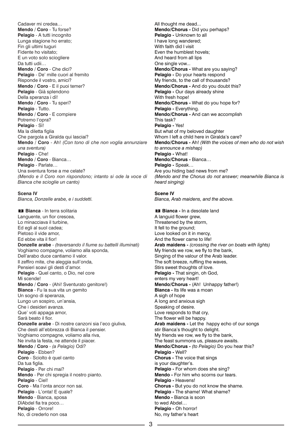Cadaver mi credea… **Mendo** / **Coro** - Tu forse? **Pelagio** - A tutti incognito Lunga stagione ho errato; Fin gli ultimi tuguri Fidente ho visitato; E un voto solo sciogliere Da tutti udii… **Mendo** / **Coro** - Che dici? **Pelagio** - De' mille cuori al fremito Risponde il vostro, amici? **Mendo** / **Coro** - E il puoi temer? **Pelagio** - Già splendono Della speranza i dì! **Mendo** / **Coro** - Tu speri? **Pelagio** - Tutto. **Mendo** / **Coro** - E compiere Potremo l'opra? **Pelagio** - Sì! Ma la diletta figlia Che pargola a Giralda qui lasciai? **Mendo** / **Coro** - Ah! *(Con tono di che non voglia annunziare una sventura)* **Pelagio** - Che! **Mendo** / **Coro** - Bianca… **Pelagio** - Parlate… Una sventura forse a me celate? *(Mendo e il Coro non rispondono; intanto si ode la voce di Bianca che scioglie un canto)*

#### **Scena IV**

*Bianca, Donzelle arabe, e i suddetti.*

**Bianca** - In terra solitaria **3** Languente, un fior crescea, Lo minacciava il turbine, Ed egli al suol cadea; Pietoso il vide amor, Ed ebbe vita il fior! **Donzelle arabe** - *(traversando il fiume su battelli illuminati)* Voghiamo compagne, voliamo alla sponda, Dell'arabo duce cantiamo il valor. Il zeffiro mite, che aleggia sull'onda, Pensieri soavi gli desti d'amor. **Pelagio** - Quel canto, o Dio, nel core Mi scende! **Mendo** / **Coro** - (Ahi! Sventurato genitore!) **Bianca** - Fu la sua vita un gemito Un sogno di speranza, Lungo un sospiro, un'ansia, Che i desideri avanza. Que' voti appaga amor, Sarà beato il fior. **Donzelle arabe** - Di nostre canzoni sia l'eco giuliva, Che desti all'ebbrezza di Bianca il pensier. Voghiamo compagne, voliamo alla riva, Ne invita la festa, ne attende il piacer. **Mendo** / **Coro** - *(a Pelagio)* Odi? **Pelagio** - Ebben? **Coro** - Sciolto è quel canto Da tua figlia. **Pelagio** - Per chi mai? **Mendo** - Per chi spregia il nostro pianto. **Pelagio** - Ciel! **Coro** - Ma l'onta ancor non sai. **Pelagio** - L'onta! E quale? **Mendo** - Bianca, sposa DìAbdel fia tra poco… **Pelagio** - Orrore! No, di crederlo non osa

All thought me dead... **Mendo/Chorus -** Did you perhaps? **Pelagio -** Unknown to all I have long wandered; With faith did I visit Even the humblest hovels; And heard from all lips One single vow... **Mendo/Chorus -** What are you saying? **Pelagio -** Do your hearts respond My friends, to the call of thousands? **Mendo/Chorus -** And do you doubt this? **Pelagio - Our days already shine** With fresh hope! **Mendo/Chorus -** What do you hope for? **Pelagio - Everything. Mendo/Chorus -** And can we accomplish This task? **Pelagio -** Yes! But what of my beloved daughter Whom I left a child here in Giralda's care? **Mendo/Chorus -** Ah! *(With the voices of men who do not wish to announce a mishap)* **Pelagio -** What! **Mendo/Chorus -** Bianca… **Pelagio -** Speak… Are you hiding bad news from me? *(Mendo and the Chorus do not answer; meanwhile Bianca is heard singing)*

#### **Scene IV**

*Bianca, Arab maidens, and the above.*

**Bianca -** In a desolate land **3** A languid flower grew, Threatened by the storm, It fell to the ground; Love looked on it in mercy, And the flower came to life! **Arab maidens -** *(crossing the river on boats with lights)* My friends we row, we fly to the bank, Singing of the valour of the Arab leader. The soft breeze, ruffling the waves, Stirs sweet thoughts of love. **Pelagio -** That singin, oh God, enters my very heart! **Mendo/Chorus -** (Ah! Unhappy father!) **Bianca -** Its life was a moan A sigh of hope A long and anxious sigh Speaking of desire. Love responds to that cry, The flower will be happy. **Arab maidens -** Let the happy echo of our songs stir Bianca's thought to delight. My friends we row, we fly to the bank, The feast summons us, pleasure awaits. **Mendo/Chorus -** *(to Pelagio)* Do you hear this? **Pelagio -** Well? **Chorus -** The voice that sings is your daughter's. **Pelagio - For whom does she sing? Mendo -** For him who scorns our tears. **Pelagio -** Heavens! **Chorus -** But you do not know the shame. **Pelagio -** The shame! What shame? **Mendo -** Bianca is soon to wed Abdel… **Pelagio -** Oh horror! No, my father's heart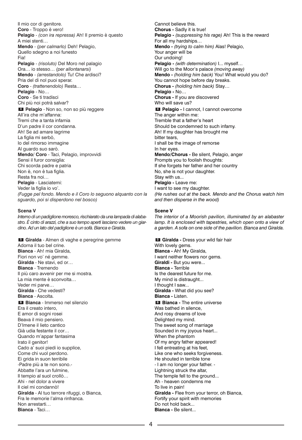Il mio cor di genitore. **Coro** - Troppo è vero! **Pelagio** - *(con ira repressa)* Ah! Il premio è questo A miei stenti… **Mendo** - *(per calmarlo)* Deh! Pelagio, Quello sdegno a noi funesto Fia! **Pelagio** - *(risoluto)* Del Moro nel palagio Ora… io stesso… *(per allontanarsi)* **Mendo** - *(arrestandolo)* Tu! Che ardisci? Pria del dì nol puoi sperar. **Coro** - *(trattenendolo)* Resta… **Pelagio** - No… **Coro** - Se ti tradisci Chi più noi potrà salvar? **Pelagio** - Non so, non so più reggere **4** All'ira che m'affanna: Tremi che a tanta infamia D'un padre il cor condanna. Ah! Se ad amare lagrime La figlia mi serbò, Io del rimorso immagine Al guardo suo sarò. **Mendo**/ **Coro** - Taci, Pelagio, improvvidi Sensi il furor consiglia: Chi scorda padre e patria Non è, non è tua figlia. Resta fra noi… **Pelagio** - Lasciatemi: Veder la figlia io vo'. *(Fugge pel fondo. Mendo e il Coro lo seguono alquanto con la sguardo, poi si disperdono nel bosco)*

#### **Scena V**

*Interno di un padiglione moresco, rischiarato da una lampada di alabastro. È cinto di arazzi, che a suo tempo aperti lasciano vedere un giardino. Ad un lato del padiglione è un sofà. Bianca e Giralda.*

**Giralda** - Almen di vaghe e peregrine gemme **5** Adorna il tuo bel crine. **Bianca** - Ah! mia Giralda, Fiori non vo' né gemme. **Giralda** - Ne stavi, ed or… **Bianca** - Tremendo Il più caro avvenir per me si mostra. La mia mente è sconvolta… Veder mi parve… **Giralda** - Che vedesti? **Bianca** - Ascolta. **Bianca** - Immerso nel silenzio **6** Era il creato intero, E amor di sogni rosei Beava il mio pensiero. D'Imene il lieto cantico Già udia festante il cor… Quando m'appar fantasima Irato il genitor! Cado a' suoi piedi io supplice, Come chi vuol perdono. Ei grida in suon terribile -Padre più a te non sono.- Abbatte l'ara un fulmine, Il tempio al suol crollò… Ahi - nel dolor a vivere Il ciel mi condannò! **Giralda** - Al tuo terrore rifuggi, o Bianca, Fra le memorie l'alma rinfranca. Non arrestarti… **Bianca** - Taci…

Cannot believe this. **Chorus -** Sadly it is true! **Pelagio -** *(suppressing his rage)* Ah! This is the reward For all my hardships… **Mendo -** *(trying to calm him)* Alas! Pelagio, Your anger will be Our undoing! **Pelagio -** *(with determination)* I... myself… Will go to the Moor's palace *(moving away)* **Mendo -** *(holding him back)* You! What would you do? You cannot hope before day breaks. **Chorus -** *(holding him back)* Stay… **Pelagio -** No… **Chorus -** If you are discovered Who will save us? **Pelagio -** I cannot, I cannot overcome **4** The anger within me: Tremble that a father's heart Should be condemned to such infamy. Ah! If my daughter has brought me bitter tears, I shall be the image of remorse In her eyes. **Mendo/Chorus -** Be silent, Pelagio, anger Prompts you to foolish thoughts: If she forgets her father and her country No, she is not your daughter. Stay with us... **Pelagio -** Leave me: I want to see my daughter. *(He rushes out at the back. Mendo and the Chorus watch him and then disperse in the wood)*

#### **Scene V**

*The interior of a Moorish pavilion, illuminated by an alabaster lamp. It is enclosed with tapestries, which open onto a view of a garden. A sofa on one side of the pavilion. Bianca and Giralda.*

**Giralda -** Dress your wild fair hair **5** With lovely gems. **Bianca -** Ah! My Giralda, I want neither flowers nor gems. **Giraldi -** But you were... **Bianca -** Terrible Is the dearest future for me. My mind is distraught... I thought I saw... **Giralda -** What did you see? **Bianca -** Listen. **Bianca** - The entire universe Was bathed in silence. And rosy dreams of love Delighted my mind. The sweet song of marriage Sounded in my joyous heart... When the phantom Of my angry father appeared! I fell entreating at his feet, Like one who seeks forgiveness. He shouted in terrible tone - I am no longer your father. - Lightning struck the altar, The temple fell to the ground... Ah - heaven condemns me To live in pain! **Giralda -** Flee from your terror, oh Bianca, Fortify your spirit with memories Do not hold back... **Bianca -** Be silent...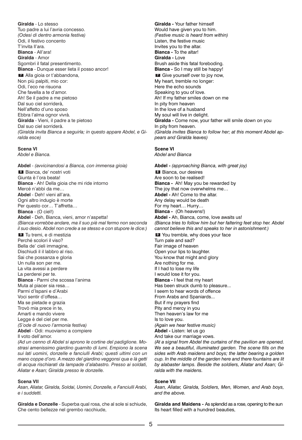**Giralda** - Lo stesso Tuo padre a lui l'avria concesso. *(Odesi di dentro armonia festiva)* Odi, il festivo concento T'invita ll'ara. **Bianca** - All'ara! **Giralda** - Amor Sgombri il fatal presentimento. **Bianca** - Dunque esser lieta il posso ancor! Alla gioia or t'abbandona, **7** Non più palpiti, mio cor: Odi, l'eco ne risuona Che favella a te d'amor. Ah! Se il padre a me pietoso Dal suo ciel sorriderà, Nell'affetto d'uno sposo Ebbra l'alma ognor vivrà. **Giralda** - Vieni, il padre a te pietoso Dal suo ciel sorriderà. *(Giralda invita Bianca a seguirla; in questo appare Abdel, e Giralda esce)*

# **Scena VI**

*Abdel e Bianca.*

**Abdel** - *(avvicinandosi a Bianca, con immensa gioia)* Bianca, de' nostri voti **8** Giunta è l'ora beata! **Bianca** - Ah! Della gioia che mi ride intorno Mercé n'abbi da me… **Abdel** - Deh! vieni all'ara. Ogni altro indugio è morte Per questo cor… T'affretta… **Bianca** - (O ciel!) **Abdel** - Deh, Bianca, vieni, amor n'aspetta! *(Bianca vorrebbe andare, ma il suo piè mal fermo non seconda il suo desio. Abdel non crede a se stesso e con stupore le dice:)* Tu tremi, e di mestizia **9** Perché scolori il viso? Bella de' cieli immagine, Dischiudi il il labbro al riso. Sai che possanza e gloria Un nulla son per me. La vita avessi a perdere La perderei per te. **Bianca** - Parmi che scossa l'anima Muta al piacer sia resa… Parmi d'Ispani e d'Arabi Voci sentir d'offesa… Ma se pietade e grazia Trovò mia prece in te, Amarti e mando vivere Legge è del ciel per me. *(S'ode di nuovo l'armonia festiva)* **Abdel** - Odi: muoviamo a compiere Il voto dell'amor.

*(Ad un cenno di Abdel si aprono le cortine del padiglione. Mostrasi amenissimo giardino guarnito di lumi. Empiono la scena sui lati uomini, donzelle e fanciulli Arabi; questi ultimi con un mano coppe d'oro. A mezzo del giardino veggonsi qua e là getti di acqua rischiarati da lampade d'alabastro. Presso ai soldati, Aliatar e Asan; Giralda presso le donzelle.*

# **Scena VII**

*Asan, Aliatar, Giralda, Soldai, Uomini, Donzelle, e Fanciulli Arabi, e i suddetti.*

**Giralda e Donzelle** - Superba qual rosa, che al sole si schiude, Che cento bellezze nel grembo racchiude,

**Giralda -** Your father himself Would have given you to him. *(Festive music is heard from within)* Listen, the festive music Invites you to the altar. **Bianca -** To the altar! **Giralda -** Love Brush aside this fatal foreboding. **Bianca -** So I may still be happy! Give yourself over to joy now, **7** My heart, tremble no longer: Here the echo sounds Speaking to you of love. Ah! If my father smiles down on me In pity from heaven In the love of a husband My soul will live in delight. **Giralda -** Come now, your father will smile down on you In pity from heaven. *(Giralda invites Bianca to follow her; at this moment Abdel appears and Giralda leaves)*

# **Scene VI**

*Abdel and Bianca*

**Abdel -** *(approaching Bianca, with great joy)* Bianca, our desires **8** Are soon to be realised! **Bianca -** Ah! May you be rewarded by The joy that now overwhelms me… **Abdel -** Ah! Come to the altar. Any delay would be death For my heart… Hurry… **Bianca -** (Oh heavens!) **Abdel -** Ah, Bianca, come, love awaits us! *(Bianca tries to follow him but her faltering feet stop her. Abdel cannot believe this and speaks to her in astonishment:)* You tremble, why does your face **9** Turn pale and sad? Fair image of heaven Open your lips to laughter. You know that might and glory Are nothing for me. If I had to lose my life I would lose it for you. **Bianca -** I feel that my heart Has been struck dumb to pleasure... I seem to hear words of offence From Arabs and Spaniards... But if my prayers find Pity and mercy in you Then heaven's law for me Is to love you. *(Again we hear festive music)* **Abdel -** Listen: let us go And take our marriage vows.

*(At a signal from Abdel the curtains of the pavilion are opened. We see a beautiful, illuminated garden. The scene fills on the sides with Arab maidens and boys; the latter bearing a golden cup. In the middle of the garden here and there fountains are lit by alabaster lamps. Beside the soldiers, Aliatar and Asan; Giralda with the maidens.*

# **Scene VII**

*Asan, Aliatar, Giralda, Soldiers, Men, Women, and Arab boys, and the above.*

**Giralda and Maidens -** As splendid as a rose, opening to the sun Its heart filled with a hundred beauties,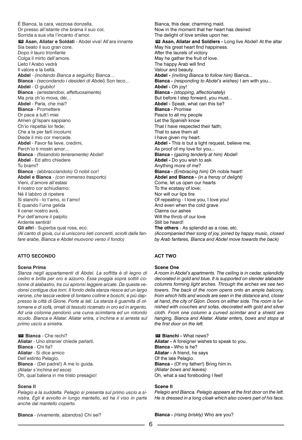È Bianca, la cara, vezzosa donzella. Or presso all'istante che brama il suo cor, Sorrida a sua vita l'incanto d'amor. **Asan, Aliatar e Soldati** - Abdel viva! All'ara innante **10** Sia beato il suo gran core. Dopo il lauro trionfante Colga il mirto dell'amore. Lieto l'Arabo vedrà Il valore e la beltà. **Abdel** - *(incitando Bianca a seguirlo)* Bianca… **Bianca** - *(secondando i desideri di Abdel)* Son teco… **Abdel** - O giubilo! **Bianca** - *(arrestandosi, affettuosamente)* Ma pria ch'io mova, dèi… **Abdel** - Parla, che mai? **Bianca** - Promettere Or pace a tutt'i miei Almen gl'Ispani sappiano Ch'io rispettai lor fede; Che a te per farli incolumi Diede il mio cor mercede. **Abdel** - Favor fia lieve, credimi, Perch'io ti mostri amor… **Bianca** - *(fissandolo teneramente)* Abdel! **Abdel** - Ed altro chiedere Tu brami? **Bianca** - *(abbracciandolo)* O nobil cor! **Abdel e Bianca** - *(con immenso trasporto)* Vieni, d'amore all'estasi Il nostro cor schiudiamo; Né il labbro di ripetere Si stanchi - Io t'amo, io t'amo! E quando l'urna gelida Il cener nostro avrà, Pur dell'amore il palpito Ardente sentirà! **Gli altri** - Superba qual rosa, *ecc. (Al canto di gioia, cui si uniscono lieti concenti, sciolti dalle fanfare arabe, Bianca e Abdel muovono verso il fondo)*

# **ATTO SECONDO**

#### **Scena Prima**

*Stanza negli appartamenti di Abdel. La soffitta è di legno di cedro e brilla per oro e azzurro. Essa poggia sopra sottili colonne di alabastro, tra cui apronsi leggere arcate. Da queste vedonsi contigue due torri. Il fondo della stanza riesce ad un largo verone, che lascia vedere di lontano colline e boschi, e più dappresso la città di Gione. Porte ai lati. La stanza è guarnita di ottomane e di sofà, ornati di tessuto ricamato in oro ed in argento. Ad una colonna pendono una curva scimitarra ed un rotondo scudo. Bianca e Aliatar. Aliatar entra, s'inchina e si arresta sul primo uscio a sinistra.*

**Bianca** - Che rechi? **11 Aliatar** - Uno stranier chiede parlarti. **Bianca** - Chi fia? **Aliatar** - Si dice amico Dell'estinto Pelagio. **Bianca** - (Del padre!) A me lo guida. *(Aliatar s'inchina ed esce)* Oh, qual balena in me tristo presagio!

#### **Scena II**

*Pelagio e la suddetta. Pelagio si presenta sul primo uscio a sinistra. Egli è avvolto in lungo mantello, ed ha il viso in parte anche dal mantello coperto.*

Bianca, this dear, charming maid. Now in the moment that her heart has desired The delight of love smiles upon her. **Asan, Aliatar and Soldiers -** Long live Abdel! At the altar **10** May his great heart find happiness. After the laurels of victory May he gather the fruit of love. The happy Arab will find Valour and beauty. **Abdel -** *(inviting Bianca to follow him)* Bianca... **Bianca -** *(responding to Abdel's wishes)* I am with you... **Abdel -** Oh joy! **Bianca -** *(stopping, affectionately)* But before I step forward, you must... **Abdel -** Speak, what can this be? **Bianca -** Promise Peace to all my people Let the Spanish know That I have respected their faith; That to save them all I have given my heart. **Abdel -** This is but a light request, believe me, As proof of my love for you... **Bianca -** *(gazing tenderly at him)* Abdel! **Abdel -** Do you wish to ask Anything more of me? **Bianca -** *(Embracing him)* Oh noble heart! **Abdel and Bianca -** *(in a frenzy of delight)* Come, let us open our hearts To the ecstasy of love; Nor will our lips tire Of repeating - I love you, I love you! And even when the cold grave Claims our ashes Will the throb of our love Still be heard! **The others** - As splendid as a rose, *etc. (Accompanied their song of joy, joined by happy music, closed by Arab fanfares, Bianca and Abdel move towards the back)*

# **ACT TWO**

#### **Scene One**

*A room in Abdel's apartments. The ceiling is in cedar, splendidly decorated in gold and blue. It is supported on slender alabaster columns forming light arches. Through the arches we see two towers. The back of the room opens onto an ample balcony, from which hills and woods are seen in the distance and, closer at hand, the city of Gijon. Doors on either side. The room is furnished with couches and sofas, decorated with gold and silver cloth. From one column a curved scimitar and a shield are hanging. Bianca and Aliatar. Aliatar enters, bows and stops at the first door on the left.*

**Bianchi -** What news? **11Aliatar -** A foreigner wishes to speak to you. **Bianca -** Who is he? **Aliatar -** A friend, he says Of the late Pelagio. **Bianca - (Of my father!) Bring him in.** *(Aliatar bows and leaves)* Oh, what a sad foreboding I feel!

#### **Scene II**

*Pelagio and Bianca. Pelagio appears at the first door on the left. He is dressed in a long cloak which also covers part of his face.*

**Bianca** - *(vivamente, alzandosi)* Chi sei?

**Bianca -** *(rising briskly)* Who are you?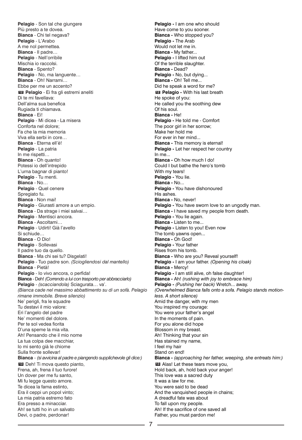**Pelagio** - Son tal che giungere Più presto a te dovea. **Bianca** - Chi tel negava? **Pelagio** - L'Arabo A me nol permettea. **Bianca** - Il padre… **Pelagio** - Nell'orribile Mischia io raccolsi. **Bianca** - Spento? **Pelagio** - No, ma languente… **Bianca** - Oh! Narrami… Ebbe per me un accento? **Pelagio** - Ei fra gli estremi aneliti **12** Di te mi favellava: Dell'alma sua benefica Rugiada ti chiamava. **Bianca** - Ei! **Pelagio** - Mi dicea - La misera Conforta nel dolore; Fa che la mia memoria Viva ella serbi in core… **Bianca** - Eterna ell'è! **Pelagio** - La patria In me rispetti… **Bianca** - Oh quanto! Potessi io dell'intrepido L'urna bagnar di pianto! **Pelagio** - Tu menti. **Bianca** - No… **Pelagio** - Quel cenere Spregiato fu. **Bianca** - Non mai! **Pelagio** - Giurasti amore a un empio. **Bianca** - Da strage i miei salvai… **Pelagio** - Mentisci ancora. **Bianca** - Ascoltami… **Pelagio** - Udirti! Già l'avello Si schiude… **Bianca** - O Dio! **Pelagio** - Sollevasi Il padre tuo da quello. **Bianca** - Ma chi sei tu? Disgelati! **Pelagio** - Tuo padre son. *(Sciogliendosi dal mantello)* **Bianca** - Pietà! **Pelagio** - Io vivo ancora, o perfida! **Bianca** - Deh! *(Correndo a lui con trasporto per abbracciarlo)* **Pelagio** - *(scacciandola)* Sciagurata… va'. *(Bianca cade nel massimo abbattimento su di un sofà. Pelagio rimane immobile. Breve silenzio)* Ne' perigli, fra le squadre Tu destavi il mio valore: Eri l'angelo del padre Ne' momenti del dolore. Per te sol vedea fiorita D'una speme la mia vita. Ah! Pensando che il mio nome La tua colpa dee macchiar, Io mi sento già le chiome Sulla fronte sollevar! **Bianca** - *(si avvicina al padre e piangendo supplichevole gli dice:)* **13** Deh! Ti mova questo pianto, Frena, ah, frena il tuo furore! Un dover per me fu santo, Mi fu legge questo amore. Te dicea la fama estinto, Era il ceppi un popol vinto; La mia patria estremo fato Era presso a minacciar. Ah! se tutti ho in un salvato Devi, o padre, perdonar!

**Pelagio -** I am one who should Have come to you sooner. **Bianca -** Who stopped you? **Pelagio -** The Arab Would not let me in. **Bianca -** My father... **Pelagio -** I lifted him out Of the terrible slaughter. **Bianca -** Dead? **Pelagio -** No, but dying... **Bianca -** Oh! Tell me... Did he speak a word for me? **Pelagio -** With his last breath **12** He spoke of you: He called you the soothing dew Of his soul. **Bianca -** He! **Pelagio -** He told me - Comfort The poor girl in her sorrow; Make her hold me For ever in her mind... **Bianca -** This memory is eternal! **Pelagio -** Let her respect her country  $In me.$ **Bianca -** Oh how much I do! Could I but bathe the hero's tomb With my tears! **Pelagio -** You lie. **Bianca -** No... **Pelagio -** You have dishonoured His ashes. **Bianca -** No, never! **Pelagio - You have sworn love to an ungodly man. Bianca -** I have saved my people from death. **Pelagio -** You lie again. **Bianca -** Listen to me... **Pelagio -** Listen to you! Even now The tomb yawns open... **Bianca -** Oh God! **Pelagio -** Your father Rises from his tomb. **Bianca -** Who are you? Reveal yourself! **Pelagio -** I am your father. *(Opening his cloak)* **Bianca -** Mercy! **Pelagio -** I am still alive, oh false daughter! **Bianca -** Ah! *(rushing with joy to embrace him)* **Pelagio -** *(Pushing her back)* Wretch... away. *(Overwhelmed Bianca falls onto a sofa. Pelagio stands motionless. A short silence)* Amid the danger, with my men You inspired my courage: You were your father's angel In the moments of pain. For you alone did hope Blossom in my breast. Ah! Thinking that your sin Has stained my name, I feel my hair Stand on end! **Bianca -** *(approaching her father, weeping, she entreats him:)* Alas! Let these tears move you, **13** Hold back, ah, hold back your anger! This love was a sacred duty It was a law for me. You were said to be dead And the vanquished people in chains; A dreadful fate was about To fall upon my people. Ah! If the sacrifice of one saved all Father, you must pardon me!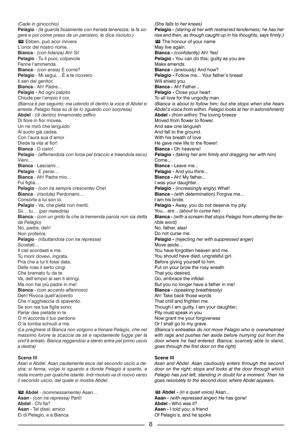*(Cade in ginocchio)* **Pelagio** - *(la guarda fissamente con frenata tenerezza; la fa sogere e poi come preso da un pensiero, le dice risoluto:)* Ebben, può acor rivivere **14** L'onor del nostro nome. **Bianca** - *(con fidanza)* Ah! Sì! **Pelagio** - Tu il puoi; colpevole Fanne l'ammenda. **Bianca** - *(con ansia)* E come? **Pelagio** - Mi segui… È a te ricovero Il sen del genitor. **Bianca** - Ah! Padre… **Pelagio** - Ad ogni palpito Chiude per l'empio il cor. *(Bianca è per seguirlo; ma udendo di dentro la voce di Abdel si arresta. Pelagio fissa su di lei lo sguardo con sorpresa)* **Abdel** - *(di dentro)* Innamorato zeffiro Di fiore in fior movea, Un ne mirò che languido Al suolo già cadea. Con l'aura sua d'amor Diede la vita al fior! **Bianca** - O cielo! **Pelagio** - *(afferrandola con forza pel braccio e traendola seco)* Vieni… **Bianca** - Lasciami… **Pelagio** - E pensi… **Bianca** - Ah! Padre mio… Fui figlia… **Pelagio** - *(con ira sempre crescente)* Che! **Bianca** - *(risoluta)* Perdonami… Consorte a lui son io. **Pelagio** - Va, che pietà non meriti. Sii… tu… *(per maledirla)* **Bianca** - *(con un grido fa che la tremenda parola non sia detta da Pelagio)* No, padre, deh! Non proferire. **Pelagio** - *(ributtandola con ira repressa)* Scostati… Il ciel scordasti e me. Tu morir dovevi, ingrata. Pria che a lui ti fossi data. Delle rose il serto cingi Che bramato fu da te. Va, dell'empio al sen ti stringi. Ma non hai più padre in me! **Bianca** - *(con accento affannoso)* Deh! Rivoca quell'accento Che n'agghiaccia di spavento. Se son rea tua figlia sono; Parlar dee pietade in te O m'accorda il tuo perdono O la tomba schiudi a me. *(Le preghiere di Bianca non volgono a frenare Pelagio, che nel massimo furore la scaccia da sé e rapidamente fugge per là ond'è entrato. Bianca reggendosi a stento entra pel primo uscio*

**Scena III**

*a destra)*

*Asan e Abdel. Asan cautamente esce dal secondo uscio a destra; si ferma, volge lo sguardo a donde Pelagio è sparito, e resta incerto per qualche istante. Indi risoluto va di nuovo verso il secondo uscio, dal quale si mostra Abdel.*

**Abdel** - *(sommessamente)* Asan… **15 Asan** - *(con ira repressa)* Partì! **Abdel** - Chi fia? **Asan** - Tel dissi: amico Ei di Pelagio, e a Bianca

*(She falls to her knees)* **Pelagio -** *(staring at her with restrained tenderness; he has her rise and then, as though caught up in his thoughts, says firmly:)* **14** The honour of your name May live again. **Bianca -** *(confidently)* Ah! Yes! **Pelagio -** You can do this; guilty as you are Make amends. **Bianca -** *(anxiously)* And how? **Pelagio -** Follow me... Your father's breast Will shield you. **Bianca -** Ah! Father... **Pelagio -** Close your heart To all love for the ungodly man. *(Bianca is about to follow him; but she stops when she hears Abdel's voice from within. Pelagio looks at her in astonishment)* **Abdel -** *(from within)* The loving breeze Moved from flower to flower, And saw one languish And fall to the ground. With his breath of love He gave new life to the flower! **Bianca -** Oh heavens! **Pelagio -** *(taking her arm firmly and dragging her with him)* Come... **Bianca -** Leave me... **Pelagio -** And you think... **Bianca -** Ah! My father... I was your daughter... **Pelagio -** *(increasingly angry)* What! **Bianca -** *(with determination)* Forgive me... I am his bride. **Pelagio -** Away, you do not deserve my pity. You... are... *(about to curse her)* **Bianca -** *(with a scream that stops Pelagio from uttering the terrible word)* No, father, alas! Do not curse me. **Pelagio -** *(rejecting her with suppressed anger)* Move aside... You have forgotten heaven and me. You should have died, ungrateful girl. Before giving yourself to him. Put on your brow the rosy wreath That you desired. Go, embrace the infidel. But you no longer have a father in me! **Bianca -** *(speaking breathlessly)* Ah! Take back those words That chill and frighten me. Though I am guilty, I am your daughter; Pity must speak in you Now grant me your forgiveness Or I shall go to my grave. *(Bianca's entreaties do not move Pelagio who is overwhelmed with rage and pushes her aside before hurrying out from the door where he had entered. Bianca, scarcely able to stand, goes through the first door on the right)*

## **Scene III**

*Asan and Abdel. Asan cautiously enters through the second door on the right; stops and looks at the door through which Pelagio has just left, standing in doubt for a moment. Then he goes resolutely to the second door, where Abdel appears.*

**Abdel -** *(in a quiet voice)* Asan... **15Asan -** *(with repressed anger)* He has gone! **Abdel -** Who was it? **Asan -** I told you: a friend Of Pelagio's, and he spoke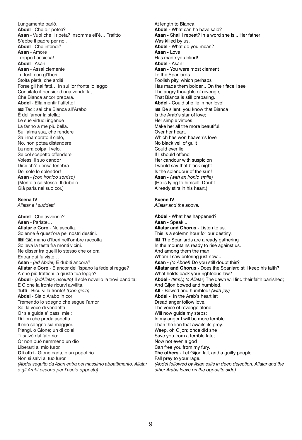Lungamente parlò. **Abdel** - Che dir potea? **Asan** - Vuoi che il ripeta? Insomma ell'è… Trafitto S'ebbe il padre per noi. **Abdel** - Che intendi? **Asan** - Amore Troppo t'accieca! **Abdel** - Asan! **Asan** - Assai clemente Tu fosti con gl'Iberi. Stolta pietà, che arditi Forse gli hai fatti… In sul lor fronte io leggo Concitato il pensier d'una vendetta, Che Bianca ancor prepara. **Abdel** - Ella mentir l'affetto! **16** Taci: sai che Bianca all'Arabo È dell'amor la stella; Le sue virtudi ingenue La fanno a me più bella. Sull'alma sua, che rendere Sa innamorato il cielo, No, non potea distendere La nera colpa il velo. Se col sospetto offendere Volessi il suo candor Direi ch'è densa tenebra Del sole lo splendor! **Asan** - *(con ironico sorriso)* (Mente a se stesso. Il dubbio Già parla nel suo cor.)

#### **Scena IV**

*Aliatar e i suddetti.*

**Abdel** - Che avvenne? **Asan** - Parlate… **Aliatar e Coro** - Ne ascolta. Solenne è quest'ora pe' nostri destini. Già mano d'Iberi nell'ombre raccolta **17** Solleva la testa fra monti vicini. Ne disser tra quelli lo stesso che or ora Entrar qui fu visto… **Asan** - *(ad Abdel)* E dubiti ancora? Aliatar e Coro - E ancor dell'Ispano la fede si regge? A che più trattieni la giusta tua legge? **Abdel** - *(adAliatar, risoluto)* Il sole novello la trovi bandita; E Gione la fronte ricurvi avvilita. **Tutti** - Ricurvi la fronte! *(Con gioia)* **Abdel** - Sia d'Arabo in cor Tremendo lo sdegno che segue l'amor. Sol la voce di vendetta Or sia guida a' passi miei; Di lion che preda aspetta Il mio sdegno sia maggior. Piangi, o Gione; un dì colei Ti salvò dal fato rio; Or non può nemmeno un dio Liberarti al mio furor. **Gli altri** - Gione cada, e un popol rio Non si salvi al tuo furor. *(Abdel seguito da Asan entra nel massimo abbattimento. Aliatar e gli Arabi escono per l'uscio opposto)*

At length to Bianca. **Abdel -** What can he have said? **Asan -** Shall I repeat? In a word she is... Her father Was killed by us. **Abdel -** What do you mean? **Asan -** Love Has made you blind! **Abdel -** Asan! **Asan -** You were most clement To the Spaniards. Foolish pity, which perhaps Has made them bolder... On their face I see The angry thoughts of revenge, That Bianca is still preparing. **Abdel -** Could she lie in her love! **16** Be silent: you know that Bianca Is the Arab's star of love; Her simple virtues Make her all the more beautiful. Over her heart, Which has won heaven's love No black veil of guilt Could ever lie. If I should offend Her candour with suspicion I would say that black night Is the splendour of the sun! **Asan -** *(with an ironic smile)* (He is lying to himself. Doubt Already stirs in his heart.) **Scene IV** *Aliatar and the above.*

**Abdel -** What has happened? **Asan -** Speak... **Aliatar and Chorus -** Listen to us. This is a solemn hour for our destiny. **17** The Spaniards are already gathering In the mountains ready to rise against us. And among them the man Whom I saw entering just now... **Asan -** *(to Abdel)* Do you still doubt this? **Aliatar and Chorus -** Does the Spaniard still keep his faith? What holds back your righteous law? **Abdel -** *(firmly, to Aliatar)* The dawn will find their faith banished; And Gijon bowed and humbled. **All -** Bowed and humbled! *(with joy)* **Abdel -** In the Arab's heart let Dread anger follow love. The voice of revenge alone Will now guide my steps; In my anger I will be more terrible Than the lion that awaits its prey. Weep, oh Gijon; once did she Save you from a terrible fate; Now not even a god Can free you from my fury. **The others -** Let Gijon fall, and a guilty people Fall prey to your rage. *(Abdel followed by Asan exits in deep dejection. Aliatar and the other Arabs leave on the opposite side)*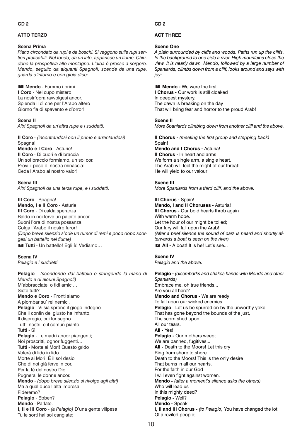# **ATTO TERZO**

# **Scena Prima**

*Piano circondato da rupi e da boschi. Si veggono sulle rupi sentieri praticabili. Nel fondo, da un lato, apparisce un fiume. Chiudono la prospettiva alte montagne. L'alba è presso a sorgere. Mendo, seguito da alquanti Spagnoli, scende da una rupe, guarda d'intorno e con gioia dice:*

**Mendo** - Fummo i primi. **1 I Coro** - Nel cupo mistero La nostr'opra ravvolgesi ancor. Splenda il dì che per l'Arabo altero Giorno fia di spavento e d'orror!

**Scena II** *Altri Spagnoli da un'altra rupe e i suddetti.*

**II Coro** - *(incontrandosi con il primo e arrentandosi)* Spagna! **Mendo e I Coro** - Asturie! **II Coro** - Di cuori e di braccia Un sol braccio formiamo, un sol cor. Provi il peso di nostra minaccia: Ceda l'Arabo al nostro valor!

# **Scena III**

*Altri Spagnoli da una terza rupe, e i suddetti.*

**III Coro** - Spagna! **Mendo, I e II Coro** - Asturie! **III Coro** - Di calda speranza Baldo in noi ferve un palpito ancor. Suoni l'ora di nostra possanza; Colga l'Arabo il nostro furor! *(Dopo breve silenzio s'ode un rumor di remi e poco dopo scorgesi un battello nel fiume)* **Tutti** - Un battello! Egli è! Vediamo… **2**

# **Scena IV**

*Pelagio e i suddetti.*

**Pelagio** - *(scendendo dal battello e stringendo la mano di Mendo e di alcuni Spagnoli)* M'abbracciate, o fidi amici… Siete tutti? **Mendo e Coro** - Pronti siamo A piombar su' rei nemici. **Pelagio** - Vi sia sprone il giogo indegno Che il confin del giusto ha infranto, Il dispregio, cui fur segno Tutt'i nostri, e il comun pianto. **Tutti** - Sì! Pelagio - Le madri ancor piangenti; Noi proscritti, ognor fuggenti… **Tutti** - Morte ai Mori! Questo grido Volerà di lido in lido. Morte ai Mori! È il sol desio Che di noi già ferve in cor. Per la fé del nostro Dio Pugnerai le donne ancor. **Mendo** - *(dopo breve silenzio si rivolge agli altri)* Ma a qual duce l'alta impresa Fideremo? **Pelagio** - Ebben? **Mendo** - Parlate. **I, II e III Coro** - *(a Pelagio)* D'una gente vilipesa Tu le sorti hai sol cangiate;

**CD 2**

# **ACT THREE**

# **Scene One**

*A plain surrounded by cliffs and woods. Paths run up the cliffs. In the background to one side a river. High mountains close the view. It is nearly dawn. Mendo, followed by a large number of Spaniards, climbs down from a cliff, looks around and says with joy:*

**Mendo -** We were the first. **1 I Chorus -** Our work is still cloaked In deepest mystery. The dawn is breaking on the day That will bring fear and horror to the proud Arab!

*More Spaniards climbing down from another cliff and the above.* **II Chorus -** *(meeting the first group and stepping back)*

Spain! **Mendo and I Chorus -** Asturia! **II Chorus -** In heart and arms We form a single arm, a single heart. The Arab will feel the might of our threat: He will yield to our valour!

# **Scene III**

**Scene II**

*More Spaniards from a third cliff, and the above.*

**III Chorus -** Spain! **Mendo, I and II Choruses -** Asturia! **III Chorus - Our bold hearts throb again** With warm hope. Let the hour of our might be tolled; Our fury will fall upon the Arab! *(After a brief silence the sound of oars is heard and shortly afterwards a boat is seen on the river)* **All -** A boat! It is he! Let's see... **2**

# **Scene IV**

*Pelagio and the above.*

**Pelagio -** *(disembarks and shakes hands with Mendo and other Spaniards)* Embrace me, oh true friends... Are you all here? **Mendo and Chorus -** We are ready To fall upon our wicked enemies. **Pelagio** - Let us be spurred on by the unworthy yoke That has gone beyond the bounds of the just, The scorn shed upon All our tears. **All -** Yes! **Pelagio - Our mothers weep;** We are banned, fugitives... **All -** Death to the Moors! Let this cry Ring from shore to shore. Death to the Moors! This is the only desire That burns in all our hearts. For the faith in our God I will even fight against women. **Mendo -** *(after a moment's silence asks the others)* Who will lead us In this mighty deed? **Pelagio -** Well? **Mendo -** Speak. **I, II and III Chorus -** *(to Pelagio)* You have changed the lot Of a reviled people;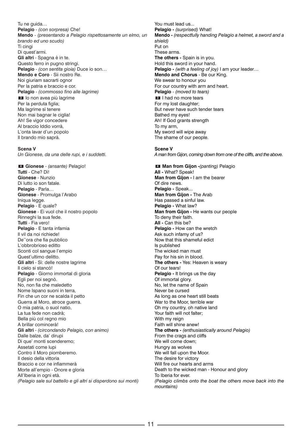Tu ne guida… **Pelagio** - *(con sorpresa)* Che! **Mendo** - *(presentando a Pelagio rispettosamente un elmo, un brando ed uno scudo)* Ti cingi Di quest'armi. **Gli altri** - Spagna è in te. Questo ferro in pugno stringi. **Pelagio** - *(con sentita gioia)* Duce io son… **Mendo e Coro** - Sii nostro Re. Noi giuriam sacrarti ognor Per la patria e braccio e cor. **Pelagio** - *(commosso fino alle lagrime)* Io non avea più lagrime **3** Per la perduta figlia; Ma lagrime sì tenere Non mai bagnar le ciglia! Ah! Se vigor concedere Al braccio Iddio vorrà, L'onta lavar d'un popolo Il brando mio saprà.

#### **Scena V**

*Un Gionese, da una delle rupi, e i suddetti.*

**Gionese** - *(ansante)* Pelagio! **4 Tutti** - Che? Dì! **Gionese** - Nunzio Di lutto io son fatale. **Pelagio** - Parla… **Gionese** - Promulga l'Arabo Iniqua legge. **Pelagio** - E quale? **Gionese** - Ei vuol che il nostro popolo Rinneghi la sua fede. **Tutti** - Fia vero! **Pelagio** - E tanta infamia Il vil da noi richiede! De''ora che fia pubblico L'obbrobrioso editto Sconti col sangue l'empio Quest'ultimo delitto. **Gli altri** - Sì: delle nostre lagrime Il cielo si stancò! **Pelagio** - Giorno immortal di gloria Egli per noi segnò. No, non fia che maledetto Nome Ispano suoni in terra, Fin che un cor ne scalda il petto Guerra al Moro, atroce guerra. O mia patria, o suol natio, La tua fede non cadrà; Bella più col regno mio A brillar comincerà! **Gli altri** - *(circondando Pelagio, con animo)* Dalle balze, da' dirupi Di que' monti scenderemo; Assetati come lupi Contro il Moro piomberemo. Il desio della vittoria Braccio e cor ne infiammerà Morte all'empio - Onore e gloria All'Iberia in ogni età. *(Pelagio sale sul battello e gli altri si disperdono sui monti)*

You must lead us... **Pelagio -** *(surprised)* What! **Mendo -** *(respectfully handing Pelagio a helmet, a sword and a shield)* Put on These arms. **The others -** Spain is in you. Hold this sword in your hand. **Pelagio -** *(with a feeling of joy)* I am your leader… **Mendo and Chorus** - Be our King. We swear to honour you For our country with arm and heart. **Pelagio** - *(moved to tears)* **3** I had no more tears For my lost daughter; But never have such tender tears Bathed my eyes! Ah! If God grants strength To my arm, My sword will wipe away The shame of our people.

**Scene V**

*A man from Gijon, coming down from one of the cliffs, and the above.*

**Man from Gijon -***(panting)* Pelagio **4 All -** What? Speak! **Man from Gijon -** I am the bearer Of dire news. **Pelagio -** Speak... **Man from Gijon -** The Arab Has passed a sinful law. **Pelagio -** What law? **Man from Gijon -** He wants our people To deny their faith. **All -** Can this be? **Pelagio -** How can the wretch Ask such infamy of us? Now that this shameful edict Is published The wicked man must Pay for his sin in blood. **The others -** Yes: Heaven is weary Of our tears! **Pelagio -** It brings us the day Of immortal glory. No, let the name of Spain Never be cursed As long as one heart still beats War to the Moor, terrible war Oh my country, oh native land Your faith will not falter; With my reign Faith will shine anew! **The others -** *(enthusiastically around Pelagio)* From the crags and cliffs We will come down; Hungry as wolves We will fall upon the Moor. The desire for victory Will fire our hearts and arms Death to the wicked man - Honour and glory To Iberia for ever. *(Pelagio climbs onto the boat the others move back into the mountains)*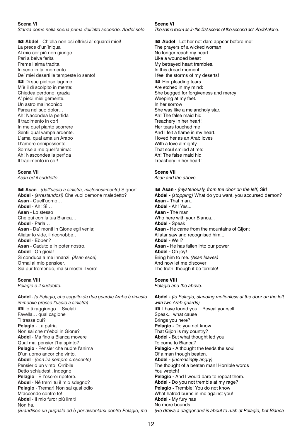# **Scena VI**

*Stanza come nella scena prima dell'atto secondo. Abdel solo.*

**Abdel** - Ch'ella non osi offrirsi a' sguardi miei! **5** La prece d'un'iniqua

Al mio cor più non giunge. Pari a belva ferita Freme l'alma tradita. In seno in tal momento De' miei deserti le tempeste io sento! Di sue pietose lagrime **6** M'è il dì scolpito in mente: Chiedea perdono, grazia A' piedi miei gemente. Un astro malinconico Parea nel suo dolor… Ah! Nacondea la perfida Il tradimento in cor! In me quel pianto scorrere Sentii qual vampa ardente. L'amai qual ama un Arabo D'amore onnipossente. Sorrise a me quell'anima: Ah! Nascondea la perfida Il tradimento in cor!

# **Scena VII**

*Asan ed il suddetto.*

**Asan** - *(dall'uscio a sinistra, misteriosamente)* Signor! **7 Abdel** - *(arrestandosi)* Che vuoi demone maledetto? **Asan** - Quell'uomo… **Abdel** - Ah! Sì… **Asan** - Lo stesso Che qui con la tua Bianca… **Abdel** - Parla… **Asan** - Da' monti in Gione egli venia; Aliatar lo vide, il riconobbe… **Abdel** - Ebben? **Asan** - Caduto è in poter nostro. **Abdel** - Oh gioia! Si conduca a me innanzi. *(Asan esce)* Ormai al mio pensioer, Sia pur tremendo, ma si mostri il vero!

# **Scena VIII**

*Pelagio e il suddetto.*

**Abdel** - *(a Pelagio, che seguito da due guardie Arabe è rimasto immobile presso l'uscio a sinistra)* 8 lo ti raggiungo... Svelati... Favella… qual cagione Ti trasse qui? **Pelagio** - La patria Non sai che m'ebbi in Gione? **Abdel** - Ma fino a Bianca movere Qual mai pensier t'ha spinto? **Pelagio** - Pensier che nudre l'anima D'un uomo ancor che vinto. **Abdel** - *(con ira sempre crescente)* Pensier d'un vinto! Orribile Detto schiudesti, indegno! **Pelagio** - E l'oserei ripetere. **Abdel** - Né tremi tu il mio sdegno? **Pelagio** - Tremar! Non sai qual odio M'accende contro te! **Abdel** - Il mio furor più limiti Non ha. *(Brandisce un pugnale ed è per avventarsi contro Pelagio, ma*

# **Scene VI**

*The same room as in the first scene of the second act. Abdel alone.*

**Abdel** - Let her not dare appear before me! **5**  The prayers of a wicked woman No longer reach my heart. Like a wounded beast My betrayed heart trembles. In this dread moment I feel the storms of my deserts! Her pleading tears **6** Are etched in my mind: She begged for forgiveness and mercy Weeping at my feet. In her sorrow She was like a melancholy star. Ah! The false maid hid Treachery in her heart! Her tears touched me And I felt a flame in my heart. I loved her as an Arab loves With a love almighty. That soul smiled at me: Ah! The false maid hid Treachery in her heart!

# **Scene VII**

*Asan and the above.*

**Asan -** *(mysteriously, from the door on the left)* Sir! **7 Abdel -** *(stopping)* What do you want, you accursed demon? **Asan -** That man... **Abdel -** Ah! Yes... **Asan -** The man Who here with your Bianca... **Abdel -** Speak **Asan -** He came from the mountains of Gijon; Aliatar saw and recognised him... **Abdel -** Well? **Asan -** He has fallen into our power. **Abdel -** Oh joy! Bring him to me. *(Asan leaves)* And now let me discover The truth, though it be terrible!

# **Scene VIII**

*Pelagio and the above.*

**Abdel -** *(to Pelagio, standing motionless at the door on the left with two Arab guards)* **8** I have found you... Reveal yourself... Speak... what cause Brings you here? **Pelagio -** Do you not know That Gijon is my country? **Abdel -** But what thought led you To come to Bianca? **Pelagio -** A thought the feeds the soul Of a man though beaten. **Abdel -** *(increasingly angry)* The thought of a beaten man! Horrible words You wretch! **Pelagio -** And I would dare to repeat them. **Abdel -** Do you not tremble at my rage? **Pelagio -** Tremble! You do not know What hatred burns in me against you! **Abdel -** My fury has No more bounds. *(He draws a dagger and is about to rush at Pelagio, but Bianca*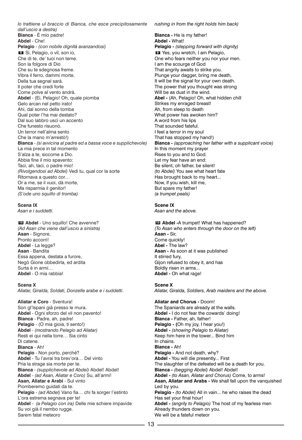*lo trattiene ul braccio di Bianca, che esce precipitosamente dall'uscio a destra)* **Bianca** - È mio padre! **Abdel** - Che! **Pelagio** - *(con nobile dignità avanzandosi)* Sì, Pelagio, o vil, son io, **9** Che di te, de' tuoi non teme. Son la folgore di Dio Che su te sdegnosa freme. Vibra il ferro, dammi morte, Della tua segnal sarà. Il poter che credi forte Come polve al vento andrà. **Abdel** - (Ei, Pelagio! Oh, quale piomba Gelo arcan nel petto irato! Ahi, dal sonno della tomba Qual poter l'ha mai destato? Dal suo labbro uscì un accento Che funesto risuonò. Un terror nell'alma sento Che la mano m'arrestò!) **Bianca** - *(si avvicina al padre ed a bassa voce e supplichevole)* La mia prece in tal momento S'alza a te, siccome a Dio. Abbia fine il mio spavento: Taci, ah, taci, o padre mio! *(Rivolgendosi ad Abdel)* Vedi tu, qual cor la sorte Ritornava a questo cor… Or a me, se il vuoi, dà morte, Ma risparmia il genitor! *(S'ode uno squillo di tromba)*

# **Scena IX**

*Asan e i suddetti.*

**Abdel** - Uno squillo! Che avvenne? **10** *(Ad Asan che viene dall'uscio a sinistra)* **Asan** - Signore, Pronto accorri! **Abdel** - La legge? **Asan** - Bandita Essa appena, destata a furore, Negò Gione obbedirla, ed ardita Surta è in armi… **Abdel** - O mia rabbia!

#### **Scena X**

*Aliatar, Giralda, Soldati, Donzelle arabe e i suddetti*.

**Aliatar e Coro** - Sventura! Son gl'Ispani già presso le mura. **Abdel** - Ogni sforzo del vil non pavento! **Bianca** - Padre, ah, padre! **Pelagio** - (O mia gioia, ti sento!) **Abdel** - *(mostrando Pelagio ad Aliatar)* Resti ei qui nella torre… Sia cinto Di catene. **Bianca** - Ah! **Pelagio** - Non porto, perché? **Abdel** - Tu l'avrai tra brev'ora… Del vinto Pria la strage sia morte per te. **Bianca** - *(supplichevole ad Abdel)* Abdel! Abdel! **Abdel** - *(ad Asan, Aliatar e Coro)* Su, all'armi! **Asan, Aliatar e Arabi** - Sul vinto Piomberemo guidati da te. **Pelagio** - *(ad Abdel)* Vano fia… chi fa sorger l'estinto L'ora estrema segnava per te! **Abdel** - *(a Pelagio con ira)* Delle mie schiere impavide Su voi già il nembo rugge. Sarem fatal meteoro

*rushing in from the right holds him back)*

**Bianca -** He is my father! **Abdel -** What! **Pelagio -** *(stepping forward with dignity)* Yes, you wretch, I am Pelagio, **9** One who fears neither you nor your men. I am the scourge of God That angrily awaits to strike you. Plunge your dagger, bring me death, It will be the signal for your own death. The power that you thought was strong Will be as dust in the wind. **Abel -** (Ah, Pelagio! Oh, what hidden chill Strikes my enraged breast! Ah, from sleep to death What power has awoken him? A word from his lips That sounded fateful. I feel a terror in my soul That has stopped my hand!) **Bianca -** *(approaching her father with a supplicant voice)* In this moment my prayer Rises to you and to God. Let my fear have an end: Be silent, oh father, be silent! *(to Abdel)* You see what heart fate Has brought back to my heart... Now, if you wish, kill me, But spare my father! *(a trumpet peals)*

# **Scene IX**

*Asan and the above.*

**Abdel -**A trumpet! What has happened? **10** *(To Asan who enters through the door on the left)* **Asan -** Sir, Come quickly! **Abel -** The law? **Asan -** As soon at it was published It stirred fury, Gijon refused to obey it, and has Boldly risen in arms... **Abdel -** Oh what rage!

#### **Scene X**

*Aliatar, Giralda, Soldiers, Arab maidens and the above.*

# **Aliatar and Chorus -** Doom!

The Spaniards are already at the walls. **Abdel -** I do not fear the cowards' doing! **Bianca -** Father, ah, father! **Pelagio - (**Oh my joy, I hear you!) **Abdel -** *(showing Pelagio to Aliatar)* Keep him here in the tower... Bind him In chains. **Bianca -** Ah! **Pelagio -** And not death, why? **Abdel -** You will die presently... First The slaughter of the defeated will be a death for you. **Bianca -** *(begging Abdel)* Abdel! Abdel! **Abdel -** *(to Asan, Aliatar and Chorus)* Come, to arms! **Asan, Aliatar and Arabs -** We shall fall upon the vanquished Led by you. Pelagio - *(to Abdel)* All in vain... he who raises the dead Has set your final hour! **Abdel -** *(angrily to Pelagio)* The host of my fearless men Already thunders down on you. We will be a fateful meteor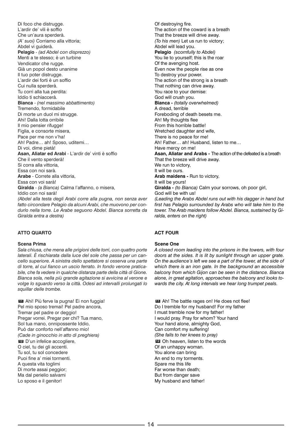Di foco che distrugge. L'ardir de' vili è soffio Che un'aura sperderà. *(A' suoi)* Corriamo alla vittoria; Abdel vi guiderà. **Pelagio** - *(ad Abdel con disprezzo)* Menti a te stesso; è un turbine Vendicator che rugge. Già un popol desto unanime Il tuo poter distrugge. L'ardir dei forti è un soffio Cui nulla sperderà. Tu corri alla tua perdita: Iddio ti schiaccerà. **Bianca** - *(nel massimo abbattimento)* Tremendo, formidabile Di morte un duol mi strugge. Ahi! Dalla lotta orribile Il mio pensier rifugge! Figlia, e consorte misera, Pace per me non v'ha! Ah! Padre… ah! Sposo, uditemi… Di voi, dime pietà! **Asan, Aliatar ed Arabi** - L'ardir de' vinti è soffio Che il vento sperderà! Si corra alla vittoria, Essa con noi sarà. **Arabe** - Correte alla vittoria, Essa con voi sarà! **Giralda** - *(a Bianca)* Calma l'affanno, o misera, Iddio con noi sarà! *(Abdel alla testa degli Arabi corre alla pugna, non senza aver fatto circondare Pelagio da alcuni Arabi, che muovono per condurlo nella torre. Le Arabe seguono Abdel. Bianca sorretta da Giralda entra a destra)*

# **ATTO QUARTO**

#### **Scena Prima**

*Sala chiusa, che mena alle prigioni delle torri, con quattro porte laterali. È rischiarata dalla luce del sole che passa per un cancello superiore. A sinistra dello spettatore si osserva una parte di torre, al cui fianco un uscio ferrato. In fondo verone praticabile, che fa vedere in qualche distanza parte della città di Gione. Bianca sola, nella più grande agitazione si avvicina al verone e volge lo sguardo verso la città. Odesi ad intervalli prolungati lo squillar delle trombe.*

Ahi! Più ferve la pugna! Ei non fuggia! **11** Pel mio sposo tremai! Pel padre ancora, Tremar pel padre or deggio! Pregar vorrei. Pregar per chi? Tua mano, Sol tua mano, onnipossente Iddio, Può dar conforto nell'affanno mio! *(Cade in ginocchio in atto di preghiera)* D'un infelice accogliere, **12** O ciel, tu dei gli accenti. Tu sol, tu sol concedere Puoi fine a' miei tormenti. A questa vita toglimi Di morte assai peggior; Ma dal perielio salvami Lo sposo e il genitor!

Of destroying fire. The action of the coward is a breath That the breeze will drive away. *(To his men)* Let us run to victory; Abdel will lead you. **Pelagio** *(scornfully to Abdel)* You lie to yourself; this is the roar Of the avenging host. Even now the people rise as one To destroy your power. The action of the strong is a breath That nothing can drive away. You race to your demise: God will crush you. **Bianca -** *(totally overwhelmed)* A dread, terrible Foreboding of death besets me. Ah! My thoughts flee From this horrible battle! Wretched daughter and wife, There is no peace for me! Ah! Father… ah! Husband, listen to me… Have mercy on me! **Asan, Aliatar and Arabs -** The action of the defeated is a breath That the breeze will drive away. We run to victory, It will be ours. **Arab maidens -** Run to victory, It will be yours! **Giralda -** *(to Bianca)* Calm your sorrows, oh poor girl, God will be with us! *(Leading the Arabs Abdel runs out with his dagger in hand but first has Pelagio surrounded by Arabs who will take him to the tower. The Arab maidens follow Abdel. Bianca, sustained by Giralda, enters on the right)*

# **ACT FOUR**

#### **Scene One**

*A closed room leading into the prisons in the towers, with four doors at the sides. It is lit by sunlight through an upper grate. On the audience's left we see a part of the tower, at the side of which there is an iron gate. In the background an accessible balcony from which Gijon can be seen in the distance. Bianca alone, in great agitation, approaches the balcony and looks towards the city. At long intervals we hear long trumpet peals.*

**III** Ah! The battle rages on! He does not flee! Do I tremble for my husband! For my father I must tremble now for my father! I would pray. Pray for whom? Your hand Your hand alone, almighty God, Can comfort my suffering! *(She falls to her knees to pray)* Oh heaven, listen to the words **12**Of an unhappy woman. You alone can bring An end to my torments. Spare me this life Far worse than death; But from danger save My husband and father!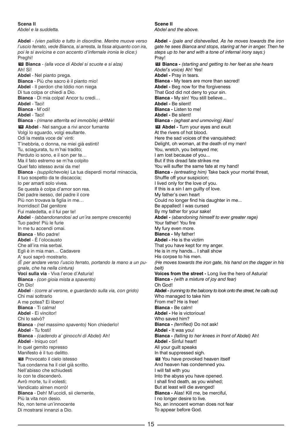# **Scena II**

*Abdel e la suddetta.*

**Abdel** - *(vien pallido e tutto in disordine. Mentre muove verso l'uscio ferrato, vede Bianca, si arresta, la fissa alquanto con ira, poi le si avvicina e con accento d'infernale ironia le dice:)* Preghi! **Bianca** - *(alla voce di Abdel si scuote e si alza)* **13** Ah! Sì! **Abdel** - Nel pianto prega. **Bianca** - Più che sacro è il pianto mio! **Abdel** - Il perdon che Iddio non niega Di tua colpa or chiedi a Dio. **Bianca** - Di mia colpa! Ancor tu credi… **Abdel** - Taci! **Bianca** - M'odi! **Abdel** - Taci! **Bianca** - *(rimane atterrita ed immobile)* aHIMè! **Abdel** - Nel sangue a rivi ancor fumante **14** Volgi lo sguardo, volgi esultante. Odi la mesta voce de' vinti: T'inebbria, o donna, ne miei già estinti! Tu, sciagurata, tu m'hai tradito; Perduto io sono, e il son per te… Ma il fato estremo se m'ha colpito Quel fato istesso avrai da me! **Bianca** - *(supplichevole)* La tua disperdi mortal minaccia, Il tuo sospetto da te discaccia; Io per amarti solo vivea. Se questa è colpa d'amor son rea. Del padre isesso, del padre il core Più non trovava la figlia in me… Inorridisci! Dal genitore Fui maledetta, e il fui per te! **Abdel** - *(abbandonandosi ad un'ira sempre crescente)* Tuo padre! Più le furie In me tu accendi omai. **Bianca** - Mio padre! **Abdel** - È l'olocausto Che all'ira mia serbai. Egli è in mia man… Cadavere A' suoi saprò mostrarlo. *(È per andare verso l'uscio ferrato, portando la mano a un pugnale, che ha nella cintura)* **Voci sulla via** - Viva l'eroe d'Asturia! **Bianca** - *(con gioia mista a spavento)* Oh Dio! **Abdel** - *(corre al verone, e guardando sulla via, con grido)* Chi mai sottrarlo A me potea? Ei libero! **Bianca** - Ti calma! **Abdel** - Ei vincitor! Chi lo salvò? **Bianca** - *(nel massimo spavento)* Non chiederlo! **Abdel** - Tu fosti! **Bianca** - *(cadendo a' ginocchi di Abdel)* Ah! **Abdel** - Iniquo cor! In quel gemito represso Manifesto è il tuo delitto. Provocato il cielo istesso **15** Tua condanna ha il ciel già scritto. Nell'abisso che schiudesti Io con te discenderò. Avrò morte, tu il volesti; Vendicato almen morrò! **Bianca** - Deh! M'uccidi, sii clemente, Più la vita non desio. No, non teme un'innocente Di mostrarsi innanzi a Dio.

## **Scene II** *Abdel and the above.*

**Abdel -** *(pale and dishevelled. As he moves towards the iron gate he sees Bianca and stops, staring at her in anger. Then he steps up to her and with a tone of infernal irony says:)* Pray! **Bianca -** *(starting and getting to her feet as she hears* **13** *Abdel's voice)* Ah! Yes! **Abdel -** Pray in tears. **Bianca -** My tears are more than sacred! **Abdel -** Beg now for the forgiveness That God did not deny to your sin. **Bianca -** My sin! You still believe... **Abdel -** Be silent! **Bianca -** Listen to me! **Abdel -** Be silent! **Bianca -** *(aghast and unmoving) Alas!* **Abdel -** Turn your eyes and exult **14** At the rivers of hot blood. Here the sad voices of the vanquished: Delight, oh woman, at the death of my men! You, wretch, you betrayed me; I am lost because of you... But if this dread fate strikes me You will suffer the same fate at my hand! **Bianca -** *(entreating him)* Take back your mortal threat, Shuffle off your suspicion; I lived only for the love of you. If this is a sin I am guilty of love. My father's own heart Could no longer find his daughter in me... Be appalled! I was cursed By my father for your sake! **Abdel -** *(abandoning himself to ever greater rage)* Your father! You fire My fury even more. **Bianca -** My father! **Abdel -** He is the victim That you have kept for my anger. He is in my hands... I shall show His corpse to his men. *(He moves towards the iron gate, his hand on the dagger in his belt)* **Voices from the street -** Long live the hero of Asturia! **Bianca -** *(with a mixture of joy and fear)* Oh God! **Abdel -** *(running to the balcony to look onto the street, he calls out)* Who managed to take him From me? He is free! **Bianca -** Be calm! **Abdel -** He is victorious! Who saved him? **Bianca -** *(terrified)* Do not ask! **Abdel -** It was you! **Bianca -** *(falling to her knees in front of Abdel)* Ah! **Abdel -** Sinful heart! All your guilt speaks In that suppressed sigh. You have provoked heaven itself **15** And heaven has condemned you. I will fall with you Into the abyss you have opened. I shall find death, as you wished; But at least will die avenged! **Bianca -** Alas! Kill me, be merciful, I no longer desire to live. No, an innocent woman does not fear To appear before God.